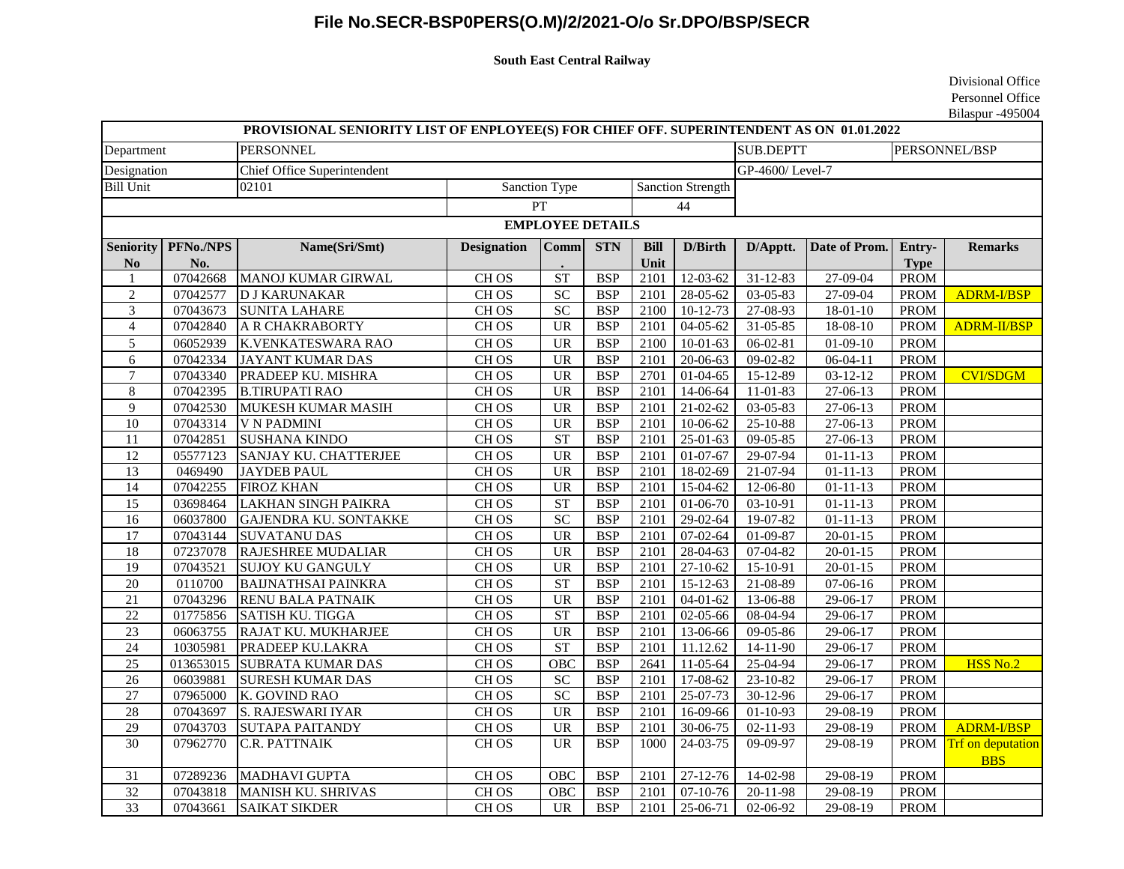## **File No.SECR-BSP0PERS(O.M)/2/2021-O/o Sr.DPO/BSP/SECR**

## **South East Central Railway**

Divisional Office Personnel Office Bilaspur -495004

| PROVISIONAL SENIORITY LIST OF ENPLOYEE(S) FOR CHIEF OFF. SUPERINTENDENT AS ON 01.01.2022 |           |                              |                      |                                   |            |                          |                       |                                   |                        |             |                                      |
|------------------------------------------------------------------------------------------|-----------|------------------------------|----------------------|-----------------------------------|------------|--------------------------|-----------------------|-----------------------------------|------------------------|-------------|--------------------------------------|
| Department                                                                               |           | <b>PERSONNEL</b>             |                      |                                   |            |                          |                       | <b>SUB.DEPTT</b><br>PERSONNEL/BSP |                        |             |                                      |
| Designation<br>Chief Office Superintendent                                               |           |                              |                      |                                   |            |                          |                       | GP-4600/Level-7                   |                        |             |                                      |
| <b>Bill Unit</b>                                                                         |           | 02101                        | <b>Sanction Type</b> |                                   |            | <b>Sanction Strength</b> |                       |                                   |                        |             |                                      |
|                                                                                          |           | PT                           |                      |                                   | 44         |                          |                       |                                   |                        |             |                                      |
| <b>EMPLOYEE DETAILS</b>                                                                  |           |                              |                      |                                   |            |                          |                       |                                   |                        |             |                                      |
| <b>Seniority</b>                                                                         | PFNo./NPS | Name(Sri/Smt)                | <b>Designation</b>   | Comm                              | <b>STN</b> | <b>Bill</b>              | <b>D/Birth</b>        | D/Apptt.                          | Date of Prom.          | Entry-      | <b>Remarks</b>                       |
| N <sub>o</sub>                                                                           | No.       |                              |                      |                                   |            | Unit                     |                       |                                   |                        | <b>Type</b> |                                      |
| 1                                                                                        | 07042668  | MANOJ KUMAR GIRWAL           | CH OS                | <b>ST</b>                         | <b>BSP</b> | 2101                     | 12-03-62              | 31-12-83                          | 27-09-04               | <b>PROM</b> |                                      |
| $\overline{2}$                                                                           | 07042577  | <b>D J KARUNAKAR</b>         | CH <sub>OS</sub>     | $\overline{SC}$                   | <b>BSP</b> | 2101                     | 28-05-62              | $03-05-83$                        | 27-09-04               | <b>PROM</b> | <b>ADRM-I/BSP</b>                    |
| $\mathfrak{Z}$                                                                           | 07043673  | <b>SUNITA LAHARE</b>         | CH <sub>OS</sub>     | $\overline{SC}$                   | <b>BSP</b> | 2100                     | $10-12-73$            | 27-08-93                          | $18 - 01 - 10$         | <b>PROM</b> |                                      |
| $\overline{4}$                                                                           | 07042840  | <b>A R CHAKRABORTY</b>       | CH <sub>OS</sub>     | <b>UR</b>                         | <b>BSP</b> | 2101                     | $04-05-62$            | $31 - 05 - 85$                    | $18 - 08 - 10$         | <b>PROM</b> | <b>ADRM-II/BSP</b>                   |
| $\overline{5}$                                                                           | 06052939  | K.VENKATESWARA RAO           | CH <sub>OS</sub>     | <b>UR</b>                         | <b>BSP</b> | 2100                     | $10-01-63$            | $06 - 02 - 81$                    | $01-09-10$             | <b>PROM</b> |                                      |
| $\overline{6}$                                                                           | 07042334  | <b>JAYANT KUMAR DAS</b>      | CH <sub>OS</sub>     | <b>UR</b>                         | <b>BSP</b> | 2101                     | $20-06-63$            | $09 - 02 - 82$                    | $06-04-11$             | <b>PROM</b> |                                      |
| $\overline{7}$                                                                           | 07043340  | PRADEEP KU. MISHRA           | CH <sub>OS</sub>     | <b>UR</b>                         | <b>BSP</b> | 2701                     | $01 - 04 - 65$        | $15 - 12 - 89$                    | $03-12-12$             | <b>PROM</b> | <b>CVI/SDGM</b>                      |
| $\,8\,$                                                                                  | 07042395  | <b>B.TIRUPATI RAO</b>        | CH <sub>OS</sub>     | <b>UR</b>                         | <b>BSP</b> | 2101                     | 14-06-64              | 11-01-83                          | 27-06-13               | PROM        |                                      |
| $\overline{9}$                                                                           | 07042530  | <b>MUKESH KUMAR MASIH</b>    | CH <sub>OS</sub>     | <b>UR</b>                         | <b>BSP</b> | 2101                     | $\overline{21-02-62}$ | 03-05-83                          | 27-06-13               | <b>PROM</b> |                                      |
| $\overline{10}$                                                                          | 07043314  | <b>V N PADMINI</b>           | CH <sub>OS</sub>     | $\overline{UR}$                   | <b>BSP</b> | 2101                     | $10-06-62$            | 25-10-88                          | $27-06-13$             | <b>PROM</b> |                                      |
| 11                                                                                       | 07042851  | <b>SUSHANA KINDO</b>         | CH <sub>OS</sub>     | ST                                | <b>BSP</b> | 2101                     | $25-01-63$            | 09-05-85                          | 27-06-13               | <b>PROM</b> |                                      |
| 12                                                                                       | 05577123  | SANJAY KU. CHATTERJEE        | CH <sub>OS</sub>     | <b>UR</b>                         | <b>BSP</b> | 2101                     | $01-07-67$            | 29-07-94                          | $01 - 11 - 13$         | <b>PROM</b> |                                      |
| $\overline{13}$                                                                          | 0469490   | <b>JAYDEB PAUL</b>           | CH <sub>OS</sub>     | $\overline{UR}$                   | <b>BSP</b> | 2101                     | 18-02-69              | $21 - 07 - 94$                    | $01 - 11 - 13$         | <b>PROM</b> |                                      |
| 14                                                                                       | 07042255  | <b>FIROZ KHAN</b>            | CH <sub>OS</sub>     | $\overline{UR}$                   | <b>BSP</b> | 2101                     | 15-04-62              | 12-06-80                          | $\overline{01}$ -11-13 | <b>PROM</b> |                                      |
| $\overline{15}$                                                                          | 03698464  | <b>LAKHAN SINGH PAIKRA</b>   | CH <sub>OS</sub>     | ST                                | <b>BSP</b> | 2101                     | 01-06-70              | 03-10-91                          | $01 - 11 - 13$         | PROM        |                                      |
| 16                                                                                       | 06037800  | <b>GAJENDRA KU. SONTAKKE</b> | CH <sub>OS</sub>     | SC                                | <b>BSP</b> | 2101                     | 29-02-64              | 19-07-82                          | $01 - 11 - 13$         | <b>PROM</b> |                                      |
| 17                                                                                       | 07043144  | <b>SUVATANU DAS</b>          | CH <sub>OS</sub>     | UR                                | <b>BSP</b> | 2101                     | $07-02-64$            | $01-09-87$                        | $20 - 01 - 15$         | <b>PROM</b> |                                      |
| 18                                                                                       | 07237078  | RAJESHREE MUDALIAR           | CH <sub>OS</sub>     | <b>UR</b>                         | <b>BSP</b> | 2101                     | 28-04-63              | 07-04-82                          | $20 - 01 - 15$         | <b>PROM</b> |                                      |
| $\overline{19}$                                                                          | 07043521  | <b>SUJOY KU GANGULY</b>      | CH <sub>OS</sub>     | UR                                | <b>BSP</b> | 2101                     | 27-10-62              | 15-10-91                          | $20 - 01 - 15$         | <b>PROM</b> |                                      |
| 20                                                                                       | 0110700   | <b>BAIJNATHSAI PAINKRA</b>   | CH <sub>OS</sub>     | <b>ST</b>                         | <b>BSP</b> | 2101                     | $15 - 12 - 63$        | $21 - 08 - 89$                    | $07-06-16$             | <b>PROM</b> |                                      |
| 21                                                                                       | 07043296  | <b>RENU BALA PATNAIK</b>     | CH <sub>OS</sub>     | $\overline{UR}$                   | <b>BSP</b> | 2101                     | $04-01-62$            | $13-06-88$                        | 29-06-17               | <b>PROM</b> |                                      |
| $\overline{22}$                                                                          | 01775856  | <b>SATISH KU. TIGGA</b>      | CH <sub>OS</sub>     | <b>ST</b>                         | <b>BSP</b> | 2101                     | 02-05-66              | 08-04-94                          | 29-06-17               | <b>PROM</b> |                                      |
| 23                                                                                       | 06063755  | RAJAT KU. MUKHARJEE          | CH <sub>OS</sub>     | UR                                | <b>BSP</b> | 2101                     | 13-06-66              | 09-05-86                          | 29-06-17               | <b>PROM</b> |                                      |
| 24                                                                                       | 10305981  | PRADEEP KU.LAKRA             | CH <sub>OS</sub>     | <b>ST</b>                         | <b>BSP</b> | 2101                     | 11.12.62              | $14-11-90$                        | 29-06-17               | <b>PROM</b> |                                      |
| $\overline{25}$                                                                          | 013653015 | <b>SUBRATA KUMAR DAS</b>     | CH <sub>OS</sub>     | OBC                               | <b>BSP</b> | 2641                     | 11-05-64              | 25-04-94                          | 29-06-17               | <b>PROM</b> | HSS No.2                             |
| 26                                                                                       | 06039881  | <b>SURESH KUMAR DAS</b>      | CH <sub>OS</sub>     | ${\rm SC}$                        | <b>BSP</b> | 2101                     | 17-08-62              | 23-10-82                          | 29-06-17               | <b>PROM</b> |                                      |
| $\overline{27}$                                                                          | 07965000  | K. GOVIND RAO                | CH <sub>OS</sub>     | $\overline{SC}$                   | <b>BSP</b> | 2101                     | 25-07-73              | 30-12-96                          | 29-06-17               | <b>PROM</b> |                                      |
| 28                                                                                       | 07043697  | S. RAJESWARI IYAR            | CH <sub>OS</sub>     | <b>UR</b>                         | <b>BSP</b> | 2101                     | $16-09-66$            | $01-10-93$                        | 29-08-19               | <b>PROM</b> |                                      |
| 29                                                                                       | 07043703  | <b>SUTAPA PAITANDY</b>       | CH <sub>OS</sub>     | <b>UR</b>                         | <b>BSP</b> | 2101                     | 30-06-75              | $02 - 11 - 93$                    | 29-08-19               | <b>PROM</b> | ADRM-I/BSP                           |
| $\overline{30}$                                                                          | 07962770  | C.R. PATTNAIK                | CH <sub>OS</sub>     | $\ensuremath{\mathrm{UR}}\xspace$ | <b>BSP</b> | 1000                     | $24-03-75$            | 09-09-97                          | 29-08-19               |             | PROM Trf on deputation<br><b>BBS</b> |
| 31                                                                                       | 07289236  | MADHAVI GUPTA                | CH <sub>OS</sub>     | OBC                               | <b>BSP</b> | 2101                     | 27-12-76              | 14-02-98                          | 29-08-19               | <b>PROM</b> |                                      |
| $\overline{32}$                                                                          | 07043818  | <b>MANISH KU. SHRIVAS</b>    | CH <sub>OS</sub>     | OBC                               | <b>BSP</b> | 2101                     | $07-10-76$            | 20-11-98                          | 29-08-19               | <b>PROM</b> |                                      |
| $\overline{33}$                                                                          | 07043661  | <b>SAIKAT SIKDER</b>         | CH <sub>OS</sub>     | <b>UR</b>                         | <b>BSP</b> | 2101                     | 25-06-71              | 02-06-92                          | 29-08-19               | PROM        |                                      |
|                                                                                          |           |                              |                      |                                   |            |                          |                       |                                   |                        |             |                                      |